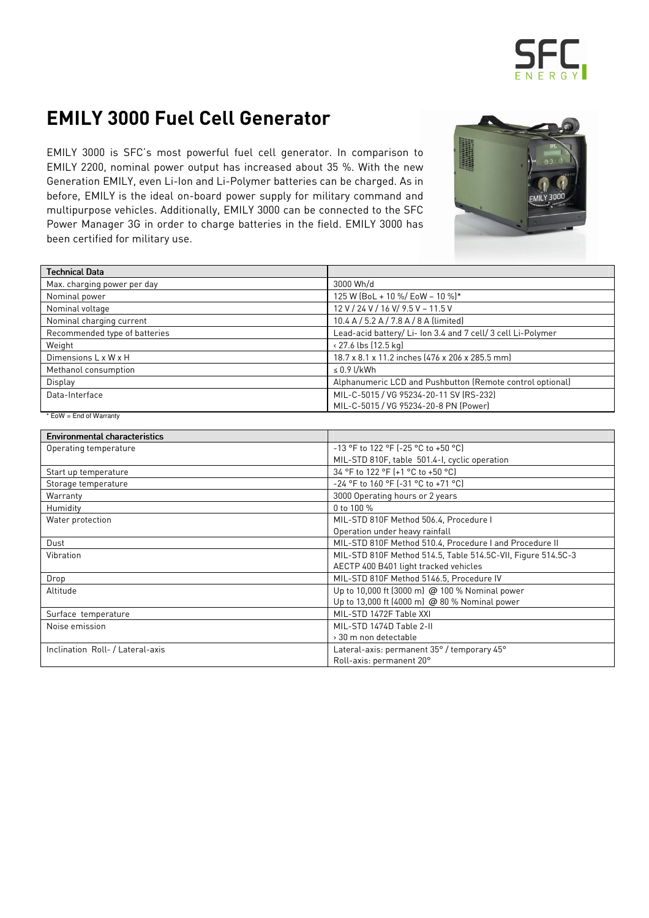

## EMILY 3000 Fuel Cell Generator

 EMILY 3000 is SFC's most powerful fuel cell generator. In comparison to EMILY 2200, nominal power output has increased about 35 %. With the new Generation EMILY, even Li-Ion and Li-Polymer batteries can be charged. As in before, EMILY is the ideal on-board power supply for military command and multipurpose vehicles. Additionally, EMILY 3000 can be connected to the SFC Power Manager 3G in order to charge batteries in the field. EMILY 3000 has been certified for military use.



| Technical Data                       |                                                              |
|--------------------------------------|--------------------------------------------------------------|
| Max. charging power per day          | 3000 Wh/d                                                    |
| Nominal power                        | 125 W (BoL + 10 %/ EoW - 10 %)*                              |
| Nominal voltage                      | 12 V / 24 V / 16 V / 9.5 V - 11.5 V                          |
| Nominal charging current             | 10.4 A / 5.2 A / 7.8 A / 8 A (limited)                       |
| Recommended type of batteries        | Lead-acid battery/ Li- Ion 3.4 and 7 cell/ 3 cell Li-Polymer |
| Weight                               | < 27.6 lbs (12.5 kg)                                         |
| Dimensions L x W x H                 | 18.7 x 8.1 x 11.2 inches (476 x 206 x 285.5 mm)              |
| Methanol consumption                 | $\leq 0.9$ l/kWh                                             |
| Display                              | Alphanumeric LCD and Pushbutton (Remote control optional)    |
| Data-Interface                       | MIL-C-5015 / VG 95234-20-11 SV (RS-232)                      |
|                                      | MIL-C-5015 / VG 95234-20-8 PN [Power]                        |
| * EoW = End of Warranty              |                                                              |
| <b>Environmental characteristics</b> |                                                              |
| Operating temperature                | -13 °F to 122 °F (-25 °C to +50 °C)                          |
|                                      | MIL-STD 810F, table 501.4-I, cyclic operation                |
| Start up temperature                 | 34 °F to 122 °F (+1 °C to +50 °C)                            |

| Start up temperature             | 34 °F to 122 °F (+1 °C to +50 °C)                            |  |
|----------------------------------|--------------------------------------------------------------|--|
| Storage temperature              | -24 °F to 160 °F (-31 °C to +71 °C)                          |  |
| Warranty                         | 3000 Operating hours or 2 years                              |  |
| Humidity                         | 0 to 100 %                                                   |  |
| Water protection                 | MIL-STD 810F Method 506.4, Procedure I                       |  |
|                                  | Operation under heavy rainfall                               |  |
| Dust                             | MIL-STD 810F Method 510.4, Procedure I and Procedure II      |  |
| Vibration                        | MIL-STD 810F Method 514.5, Table 514.5C-VII, Figure 514.5C-3 |  |
|                                  | AECTP 400 B401 light tracked vehicles                        |  |
| Drop                             | MIL-STD 810F Method 5146.5, Procedure IV                     |  |
| Altitude                         | Up to 10,000 ft (3000 m) @ 100 % Nominal power               |  |
|                                  | Up to 13,000 ft (4000 m) @ 80 % Nominal power                |  |
| Surface temperature              | MIL-STD 1472F Table XXI                                      |  |
| Noise emission                   | MIL-STD 1474D Table 2-II                                     |  |
|                                  | > 30 m non detectable                                        |  |
| Inclination Roll- / Lateral-axis | Lateral-axis: permanent 35° / temporary 45°                  |  |
|                                  | Roll-axis: permanent 20°                                     |  |